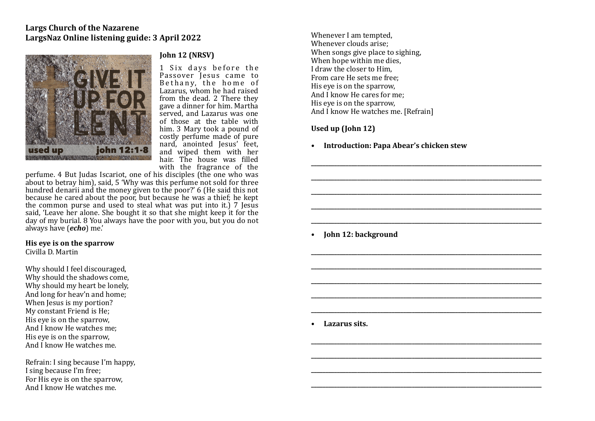

## **John 12 (NRSV)**

1 Six days before the Passover Jesus came to Bethany, the home of Lazarus, whom he had raised from the dead. 2 There they gave a dinner for him. Martha served, and Lazarus was one of those at the table with him. 3 Mary took a pound of costly perfume made of pure nard, anointed Jesus' feet, and wiped them with her hair. The house was filled with the fragrance of the

perfume. 4 But Judas Iscariot, one of his disciples (the one who was about to betray him), said,  $5$  'Why was this perfume not sold for three hundred denarii and the money given to the poor?' 6 (He said this not because he cared about the poor, but because he was a thief; he kept the common purse and used to steal what was put into it.)  $\overline{7}$  Jesus said. 'Leave her alone. She bought it so that she might keep it for the day of my burial. 8 You always have the poor with you, but you do not always have (*echo*) me.' 

**His eve is on the sparrow** 

Civilla D. Martin

Why should I feel discouraged, Why should the shadows come. Why should my heart be lonely, And long for heav'n and home; When Jesus is my portion? My constant Friend is He; His eve is on the sparrow. And I know He watches me: His eye is on the sparrow, And I know He watches me.

Refrain: I sing because I'm happy, I sing because I'm free; For His eye is on the sparrow, And I know He watches me.

Whenever I am tempted. Whenever clouds arise: When songs give place to sighing. When hope within me dies. I draw the closer to  $\text{Him}$ From care He sets me free: His eve is on the sparrow. And  $\tilde{I}$  know He cares for me: His eve is on the sparrow. And I know He watches me. [Refrain]

## Used up (John 12)

**• Introduction: Papa Abear's chicken stew** 

**\_\_\_\_\_\_\_\_\_\_\_\_\_\_\_\_\_\_\_\_\_\_\_\_\_\_\_\_\_\_\_\_\_\_\_\_\_\_\_\_\_\_\_\_\_\_\_\_\_\_\_\_\_\_\_\_\_\_\_\_\_\_\_\_\_\_\_\_\_\_\_\_\_\_\_\_\_\_\_\_** 

**\_\_\_\_\_\_\_\_\_\_\_\_\_\_\_\_\_\_\_\_\_\_\_\_\_\_\_\_\_\_\_\_\_\_\_\_\_\_\_\_\_\_\_\_\_\_\_\_\_\_\_\_\_\_\_\_\_\_\_\_\_\_\_\_\_\_\_\_\_\_\_\_\_\_\_\_\_\_\_\_** 

**\_\_\_\_\_\_\_\_\_\_\_\_\_\_\_\_\_\_\_\_\_\_\_\_\_\_\_\_\_\_\_\_\_\_\_\_\_\_\_\_\_\_\_\_\_\_\_\_\_\_\_\_\_\_\_\_\_\_\_\_\_\_\_\_\_\_\_\_\_\_\_\_\_\_\_\_\_\_\_\_** 

**\_\_\_\_\_\_\_\_\_\_\_\_\_\_\_\_\_\_\_\_\_\_\_\_\_\_\_\_\_\_\_\_\_\_\_\_\_\_\_\_\_\_\_\_\_\_\_\_\_\_\_\_\_\_\_\_\_\_\_\_\_\_\_\_\_\_\_\_\_\_\_\_\_\_\_\_\_\_\_\_** 

**\_\_\_\_\_\_\_\_\_\_\_\_\_\_\_\_\_\_\_\_\_\_\_\_\_\_\_\_\_\_\_\_\_\_\_\_\_\_\_\_\_\_\_\_\_\_\_\_\_\_\_\_\_\_\_\_\_\_\_\_\_\_\_\_\_\_\_\_\_\_\_\_\_\_\_\_\_\_\_\_** 

**\_\_\_\_\_\_\_\_\_\_\_\_\_\_\_\_\_\_\_\_\_\_\_\_\_\_\_\_\_\_\_\_\_\_\_\_\_\_\_\_\_\_\_\_\_\_\_\_\_\_\_\_\_\_\_\_\_\_\_\_\_\_\_\_\_\_\_\_\_\_\_\_\_\_\_\_\_\_\_\_** 

**\_\_\_\_\_\_\_\_\_\_\_\_\_\_\_\_\_\_\_\_\_\_\_\_\_\_\_\_\_\_\_\_\_\_\_\_\_\_\_\_\_\_\_\_\_\_\_\_\_\_\_\_\_\_\_\_\_\_\_\_\_\_\_\_\_\_\_\_\_\_\_\_\_\_\_\_\_\_\_\_** 

**\_\_\_\_\_\_\_\_\_\_\_\_\_\_\_\_\_\_\_\_\_\_\_\_\_\_\_\_\_\_\_\_\_\_\_\_\_\_\_\_\_\_\_\_\_\_\_\_\_\_\_\_\_\_\_\_\_\_\_\_\_\_\_\_\_\_\_\_\_\_\_\_\_\_\_\_\_\_\_\_** 

**\_\_\_\_\_\_\_\_\_\_\_\_\_\_\_\_\_\_\_\_\_\_\_\_\_\_\_\_\_\_\_\_\_\_\_\_\_\_\_\_\_\_\_\_\_\_\_\_\_\_\_\_\_\_\_\_\_\_\_\_\_\_\_\_\_\_\_\_\_\_\_\_\_\_\_\_\_\_\_\_** 

**\_\_\_\_\_\_\_\_\_\_\_\_\_\_\_\_\_\_\_\_\_\_\_\_\_\_\_\_\_\_\_\_\_\_\_\_\_\_\_\_\_\_\_\_\_\_\_\_\_\_\_\_\_\_\_\_\_\_\_\_\_\_\_\_\_\_\_\_\_\_\_\_\_\_\_\_\_\_\_\_** 

**\_\_\_\_\_\_\_\_\_\_\_\_\_\_\_\_\_\_\_\_\_\_\_\_\_\_\_\_\_\_\_\_\_\_\_\_\_\_\_\_\_\_\_\_\_\_\_\_\_\_\_\_\_\_\_\_\_\_\_\_\_\_\_\_\_\_\_\_\_\_\_\_\_\_\_\_\_\_\_\_** 

**\_\_\_\_\_\_\_\_\_\_\_\_\_\_\_\_\_\_\_\_\_\_\_\_\_\_\_\_\_\_\_\_\_\_\_\_\_\_\_\_\_\_\_\_\_\_\_\_\_\_\_\_\_\_\_\_\_\_\_\_\_\_\_\_\_\_\_\_\_\_\_\_\_\_\_\_\_\_\_\_** 

**\_\_\_\_\_\_\_\_\_\_\_\_\_\_\_\_\_\_\_\_\_\_\_\_\_\_\_\_\_\_\_\_\_\_\_\_\_\_\_\_\_\_\_\_\_\_\_\_\_\_\_\_\_\_\_\_\_\_\_\_\_\_\_\_\_\_\_\_\_\_\_\_\_\_\_\_\_\_\_\_** 

**\_\_\_\_\_\_\_\_\_\_\_\_\_\_\_\_\_\_\_\_\_\_\_\_\_\_\_\_\_\_\_\_\_\_\_\_\_\_\_\_\_\_\_\_\_\_\_\_\_\_\_\_\_\_\_\_\_\_\_\_\_\_\_\_\_\_\_\_\_\_\_\_\_\_\_\_\_\_\_\_** 

• **John 12: background** 

**• Lazarus sits.**